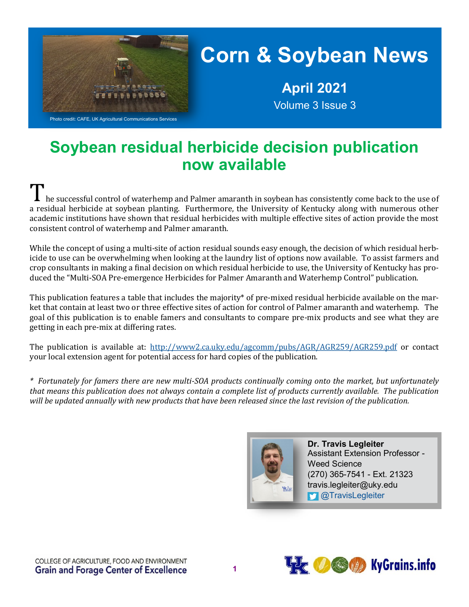

# **Corn & Soybean News**

**April 2021** Volume 3 Issue 3

### **Soybean residual herbicide decision publication now available**

he successful control of waterhemp and Palmer amaranth in soybean has consistently come back to the use of a residual herbicide at soybean planting. Furthermore, the University of Kentucky along with numerous other academic institutions have shown that residual herbicides with multiple effective sites of action provide the most consistent control of waterhemp and Palmer amaranth.

While the concept of using a multi-site of action residual sounds easy enough, the decision of which residual herbicide to use can be overwhelming when looking at the laundry list of options now available. To assist farmers and crop consultants in making a final decision on which residual herbicide to use, the University of Kentucky has produced the "Multi-SOA Pre-emergence Herbicides for Palmer Amaranth and Waterhemp Control" publication.

This publication features a table that includes the majority\* of pre-mixed residual herbicide available on the market that contain at least two or three effective sites of action for control of Palmer amaranth and waterhemp. The goal of this publication is to enable famers and consultants to compare pre-mix products and see what they are getting in each pre-mix at differing rates.

The publication is available at: <http://www2.ca.uky.edu/agcomm/pubs/AGR/AGR259/AGR259.pdf> or contact your local extension agent for potential access for hard copies of the publication.

*\* Fortunately for famers there are new multi-SOA products continually coming onto the market, but unfortunately that means this publication does not always contain a complete list of products currently available. The publication will be updated annually with new products that have been released since the last revision of the publication.*



**Dr. Travis Legleiter** Assistant Extension Professor - Weed Science (270) 365-7541 - Ext. 21323 travis.legleiter@uky.edu **M** [@TravisLegleiter](https://twitter.com/TravisLegleiter)

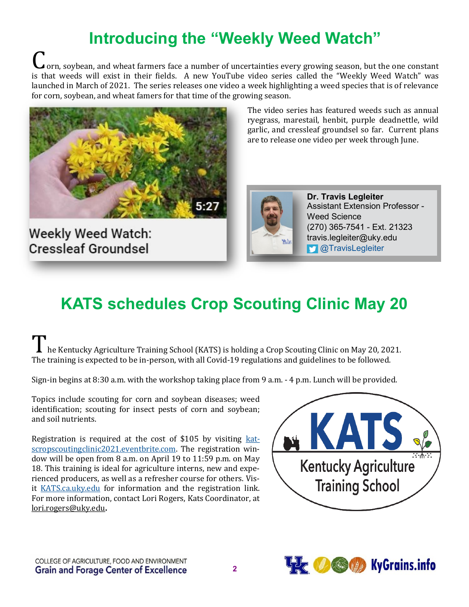### **Introducing the "Weekly Weed Watch"**

orn, soybean, and wheat farmers face a number of uncertainties every growing season, but the one constant is that weeds will exist in their fields. A new YouTube video series called the "Weekly Weed Watch" was launched in March of 2021. The series releases one video a week highlighting a weed species that is of relevance for corn, soybean, and wheat famers for that time of the growing season.



**Weekly Weed Watch: Cressleaf Groundsel** 

The video series has featured weeds such as annual ryegrass, marestail, henbit, purple deadnettle, wild garlic, and cressleaf groundsel so far. Current plans are to release one video per week through June.



**Dr. Travis Legleiter** Assistant Extension Professor - Weed Science (270) 365-7541 - Ext. 21323 travis.legleiter@uky.edu **M** [@TravisLegleiter](https://twitter.com/TravisLegleiter)

## **KATS schedules Crop Scouting Clinic May 20**

I he Kentucky Agriculture Training School (KATS) is holding a Crop Scouting Clinic on May 20, 2021. The training is expected to be in-person, with all Covid-19 regulations and guidelines to be followed.

Sign-in begins at 8:30 a.m. with the workshop taking place from 9 a.m. - 4 p.m. Lunch will be provided.

Topics include scouting for corn and soybean diseases; weed identification; scouting for insect pests of corn and soybean; and soil nutrients.

Registration is required at the cost of \$105 by visiting [kat](katscropscoutingclinic2021.eventbrite.com)[scropscoutingclinic2021.eventbrite.com.](katscropscoutingclinic2021.eventbrite.com) The registration window will be open from 8 a.m. on April 19 to 11:59 p.m. on May 18. This training is ideal for agriculture interns, new and experienced producers, as well as a refresher course for others. Visit <KATS.ca.uky.edu> for information and the registration link. For more information, contact Lori Rogers, Kats Coordinator, at lori.rogers@uky.edu**.**



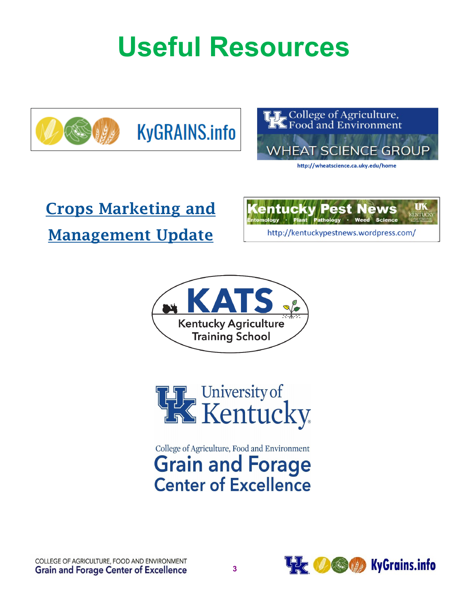**Useful Resources**







http://wheatscience.ca.uky.edu/home

# [Crops Marketing and](http://agecon.ca.uky.edu/crop-updates) [Management Update](http://agecon.ca.uky.edu/crop-updates)







### College of Agriculture, Food and Environment **Grain and Forage Center of Excellence**

COLLEGE OF AGRICULTURE, FOOD AND ENVIRONMENT **Grain and Forage Center of Excellence**